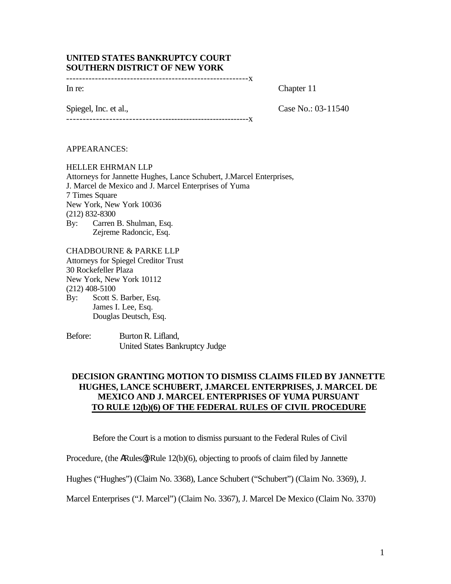## **UNITED STATES BANKRUPTCY COURT SOUTHERN DISTRICT OF NEW YORK**

---------------------------------------------------------x

In re: Chapter 11

Spiegel, Inc. et al., Case No.: 03-11540 ----------------------------------------------------------x

APPEARANCES:

HELLER EHRMAN LLP Attorneys for Jannette Hughes, Lance Schubert, J.Marcel Enterprises, J. Marcel de Mexico and J. Marcel Enterprises of Yuma 7 Times Square New York, New York 10036 (212) 832-8300 By: Carren B. Shulman, Esq. Zejreme Radoncic, Esq.

CHADBOURNE & PARKE LLP Attorneys for Spiegel Creditor Trust 30 Rockefeller Plaza New York, New York 10112 (212) 408-5100 By: Scott S. Barber, Esq. James I. Lee, Esq. Douglas Deutsch, Esq.

Before: Burton R. Lifland, United States Bankruptcy Judge

## **DECISION GRANTING MOTION TO DISMISS CLAIMS FILED BY JANNETTE HUGHES, LANCE SCHUBERT, J.MARCEL ENTERPRISES, J. MARCEL DE MEXICO AND J. MARCEL ENTERPRISES OF YUMA PURSUANT TO RULE 12(b)(6) OF THE FEDERAL RULES OF CIVIL PROCEDURE**

Before the Court is a motion to dismiss pursuant to the Federal Rules of Civil

Procedure, (the ARules<sup>®</sup>) Rule 12(b)(6), objecting to proofs of claim filed by Jannette

Hughes ("Hughes") (Claim No. 3368), Lance Schubert ("Schubert") (Claim No. 3369), J.

Marcel Enterprises ("J. Marcel") (Claim No. 3367), J. Marcel De Mexico (Claim No. 3370)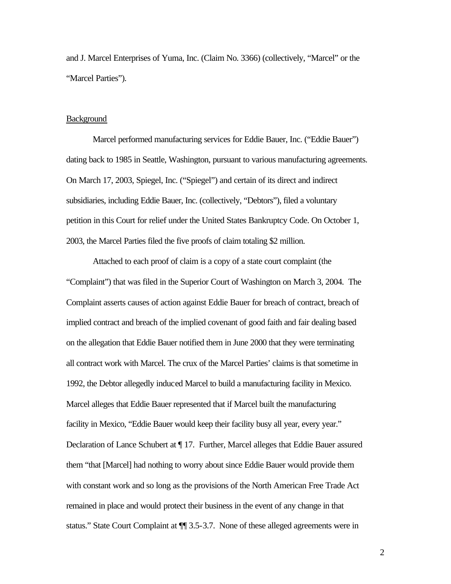and J. Marcel Enterprises of Yuma, Inc. (Claim No. 3366) (collectively, "Marcel" or the "Marcel Parties").

### **Background**

Marcel performed manufacturing services for Eddie Bauer, Inc. ("Eddie Bauer") dating back to 1985 in Seattle, Washington, pursuant to various manufacturing agreements. On March 17, 2003, Spiegel, Inc. ("Spiegel") and certain of its direct and indirect subsidiaries, including Eddie Bauer, Inc. (collectively, "Debtors"), filed a voluntary petition in this Court for relief under the United States Bankruptcy Code. On October 1, 2003, the Marcel Parties filed the five proofs of claim totaling \$2 million.

Attached to each proof of claim is a copy of a state court complaint (the "Complaint") that was filed in the Superior Court of Washington on March 3, 2004. The Complaint asserts causes of action against Eddie Bauer for breach of contract, breach of implied contract and breach of the implied covenant of good faith and fair dealing based on the allegation that Eddie Bauer notified them in June 2000 that they were terminating all contract work with Marcel. The crux of the Marcel Parties' claims is that sometime in 1992, the Debtor allegedly induced Marcel to build a manufacturing facility in Mexico. Marcel alleges that Eddie Bauer represented that if Marcel built the manufacturing facility in Mexico, "Eddie Bauer would keep their facility busy all year, every year." Declaration of Lance Schubert at ¶ 17. Further, Marcel alleges that Eddie Bauer assured them "that [Marcel] had nothing to worry about since Eddie Bauer would provide them with constant work and so long as the provisions of the North American Free Trade Act remained in place and would protect their business in the event of any change in that status." State Court Complaint at ¶¶ 3.5-3.7. None of these alleged agreements were in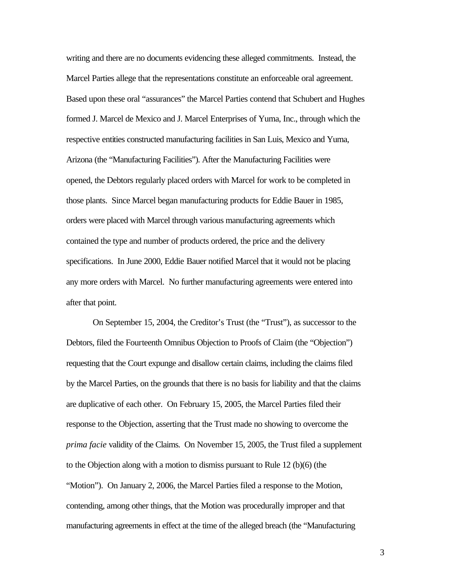writing and there are no documents evidencing these alleged commitments. Instead, the Marcel Parties allege that the representations constitute an enforceable oral agreement. Based upon these oral "assurances" the Marcel Parties contend that Schubert and Hughes formed J. Marcel de Mexico and J. Marcel Enterprises of Yuma, Inc., through which the respective entities constructed manufacturing facilities in San Luis, Mexico and Yuma, Arizona (the "Manufacturing Facilities"). After the Manufacturing Facilities were opened, the Debtors regularly placed orders with Marcel for work to be completed in those plants. Since Marcel began manufacturing products for Eddie Bauer in 1985, orders were placed with Marcel through various manufacturing agreements which contained the type and number of products ordered, the price and the delivery specifications. In June 2000, Eddie Bauer notified Marcel that it would not be placing any more orders with Marcel. No further manufacturing agreements were entered into after that point.

On September 15, 2004, the Creditor's Trust (the "Trust"), as successor to the Debtors, filed the Fourteenth Omnibus Objection to Proofs of Claim (the "Objection") requesting that the Court expunge and disallow certain claims, including the claims filed by the Marcel Parties, on the grounds that there is no basis for liability and that the claims are duplicative of each other. On February 15, 2005, the Marcel Parties filed their response to the Objection, asserting that the Trust made no showing to overcome the *prima facie* validity of the Claims. On November 15, 2005, the Trust filed a supplement to the Objection along with a motion to dismiss pursuant to Rule 12 (b)(6) (the "Motion"). On January 2, 2006, the Marcel Parties filed a response to the Motion, contending, among other things, that the Motion was procedurally improper and that manufacturing agreements in effect at the time of the alleged breach (the "Manufacturing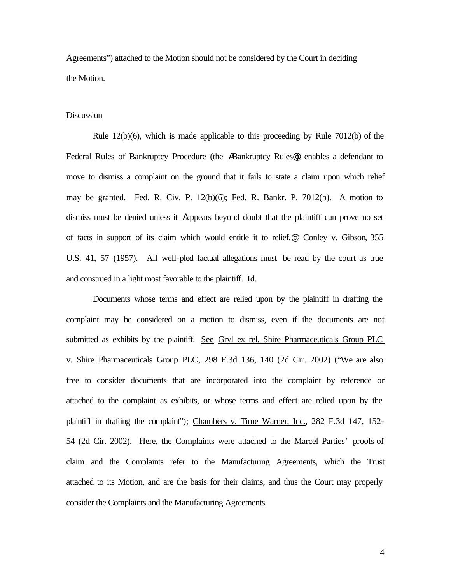Agreements") attached to the Motion should not be considered by the Court in deciding the Motion.

### **Discussion**

Rule 12(b)(6), which is made applicable to this proceeding by Rule 7012(b) of the Federal Rules of Bankruptcy Procedure (the ABankruptcy Rules@), enables a defendant to move to dismiss a complaint on the ground that it fails to state a claim upon which relief may be granted. Fed. R. Civ. P. 12(b)(6); Fed. R. Bankr. P. 7012(b). A motion to dismiss must be denied unless it Aappears beyond doubt that the plaintiff can prove no set of facts in support of its claim which would entitle it to relief.@ Conley v. Gibson, 355 U.S. 41, 57 (1957). All well-pled factual allegations must be read by the court as true and construed in a light most favorable to the plaintiff. Id.

Documents whose terms and effect are relied upon by the plaintiff in drafting the complaint may be considered on a motion to dismiss, even if the documents are not submitted as exhibits by the plaintiff. See Gryl ex rel. Shire Pharmaceuticals Group PLC v. Shire Pharmaceuticals Group PLC, 298 F.3d 136, 140 (2d Cir. 2002) ("We are also free to consider documents that are incorporated into the complaint by reference or attached to the complaint as exhibits, or whose terms and effect are relied upon by the plaintiff in drafting the complaint"); Chambers v. Time Warner, Inc., 282 F.3d 147, 152- 54 (2d Cir. 2002). Here, the Complaints were attached to the Marcel Parties' proofs of claim and the Complaints refer to the Manufacturing Agreements, which the Trust attached to its Motion, and are the basis for their claims, and thus the Court may properly consider the Complaints and the Manufacturing Agreements.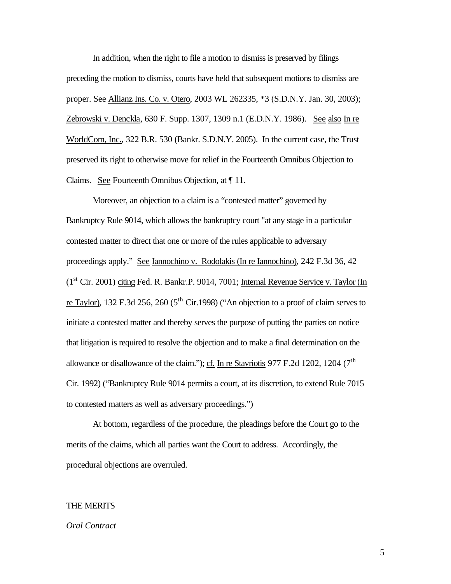In addition, when the right to file a motion to dismiss is preserved by filings preceding the motion to dismiss, courts have held that subsequent motions to dismiss are proper. See Allianz Ins. Co. v. Otero, 2003 WL 262335, \*3 (S.D.N.Y. Jan. 30, 2003); Zebrowski v. Denckla, 630 F. Supp. 1307, 1309 n.1 (E.D.N.Y. 1986). See also In re WorldCom, Inc., 322 B.R. 530 (Bankr. S.D.N.Y. 2005). In the current case, the Trust preserved its right to otherwise move for relief in the Fourteenth Omnibus Objection to Claims. See Fourteenth Omnibus Objection, at ¶ 11.

Moreover, an objection to a claim is a "contested matter" governed by Bankruptcy Rule 9014, which allows the bankruptcy court "at any stage in a particular contested matter to direct that one or more of the rules applicable to adversary proceedings apply." See Iannochino v. Rodolakis (In re Iannochino), 242 F.3d 36, 42  $(1<sup>st</sup> Cir. 2001)$  citing Fed. R. Bankr.P. 9014, 7001; Internal Revenue Service v. Taylor (In re Taylor), 132 F.3d 256, 260 (5<sup>th</sup> Cir.1998) ("An objection to a proof of claim serves to initiate a contested matter and thereby serves the purpose of putting the parties on notice that litigation is required to resolve the objection and to make a final determination on the allowance or disallowance of the claim."); cf. In re Stavriotis 977 F.2d 1202, 1204 ( $7<sup>th</sup>$ Cir. 1992) ("Bankruptcy Rule 9014 permits a court, at its discretion, to extend Rule 7015 to contested matters as well as adversary proceedings.")

At bottom, regardless of the procedure, the pleadings before the Court go to the merits of the claims, which all parties want the Court to address. Accordingly, the procedural objections are overruled.

### THE MERITS

#### *Oral Contract*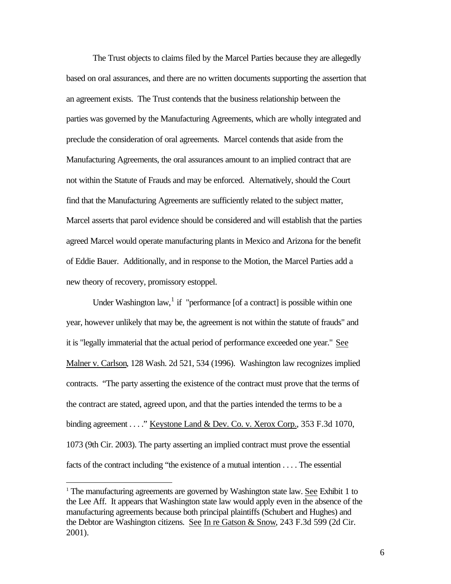The Trust objects to claims filed by the Marcel Parties because they are allegedly based on oral assurances, and there are no written documents supporting the assertion that an agreement exists. The Trust contends that the business relationship between the parties was governed by the Manufacturing Agreements, which are wholly integrated and preclude the consideration of oral agreements. Marcel contends that aside from the Manufacturing Agreements, the oral assurances amount to an implied contract that are not within the Statute of Frauds and may be enforced. Alternatively, should the Court find that the Manufacturing Agreements are sufficiently related to the subject matter, Marcel asserts that parol evidence should be considered and will establish that the parties agreed Marcel would operate manufacturing plants in Mexico and Arizona for the benefit of Eddie Bauer. Additionally, and in response to the Motion, the Marcel Parties add a new theory of recovery, promissory estoppel.

Under Washington law, $<sup>1</sup>$  if "performance [of a contract] is possible within one</sup> year, however unlikely that may be, the agreement is not within the statute of frauds" and it is "legally immaterial that the actual period of performance exceeded one year." See Malner v. Carlson, 128 Wash. 2d 521, 534 (1996). Washington law recognizes implied contracts. "The party asserting the existence of the contract must prove that the terms of the contract are stated, agreed upon, and that the parties intended the terms to be a binding agreement . . . ." Keystone Land & Dev. Co. v. Xerox Corp., 353 F.3d 1070, 1073 (9th Cir. 2003). The party asserting an implied contract must prove the essential facts of the contract including "the existence of a mutual intention . . . . The essential

 $\overline{a}$ 

<sup>1</sup> The manufacturing agreements are governed by Washington state law. See Exhibit 1 to the Lee Aff. It appears that Washington state law would apply even in the absence of the manufacturing agreements because both principal plaintiffs (Schubert and Hughes) and the Debtor are Washington citizens. See In re Gatson & Snow, 243 F.3d 599 (2d Cir. 2001).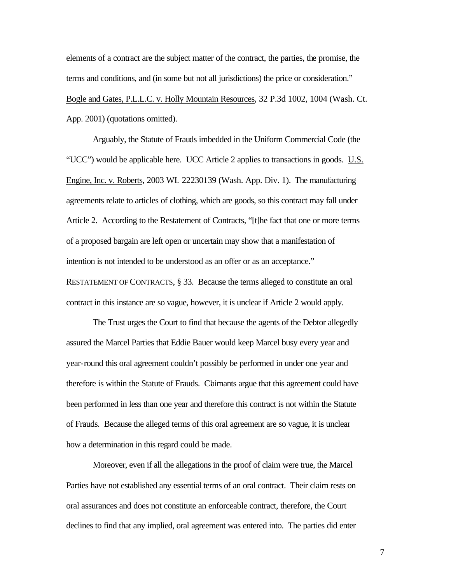elements of a contract are the subject matter of the contract, the parties, the promise, the terms and conditions, and (in some but not all jurisdictions) the price or consideration." Bogle and Gates, P.L.L.C. v. Holly Mountain Resources, 32 P.3d 1002, 1004 (Wash. Ct. App. 2001) (quotations omitted).

Arguably, the Statute of Frauds imbedded in the Uniform Commercial Code (the "UCC") would be applicable here. UCC Article 2 applies to transactions in goods. U.S. Engine, Inc. v. Roberts, 2003 WL 22230139 (Wash. App. Div. 1). The manufacturing agreements relate to articles of clothing, which are goods, so this contract may fall under Article 2. According to the Restatement of Contracts, "[t]he fact that one or more terms of a proposed bargain are left open or uncertain may show that a manifestation of intention is not intended to be understood as an offer or as an acceptance." RESTATEMENT OF CONTRACTS, § 33. Because the terms alleged to constitute an oral

The Trust urges the Court to find that because the agents of the Debtor allegedly assured the Marcel Parties that Eddie Bauer would keep Marcel busy every year and year-round this oral agreement couldn't possibly be performed in under one year and therefore is within the Statute of Frauds. Claimants argue that this agreement could have been performed in less than one year and therefore this contract is not within the Statute of Frauds. Because the alleged terms of this oral agreement are so vague, it is unclear how a determination in this regard could be made.

contract in this instance are so vague, however, it is unclear if Article 2 would apply.

Moreover, even if all the allegations in the proof of claim were true, the Marcel Parties have not established any essential terms of an oral contract. Their claim rests on oral assurances and does not constitute an enforceable contract, therefore, the Court declines to find that any implied, oral agreement was entered into. The parties did enter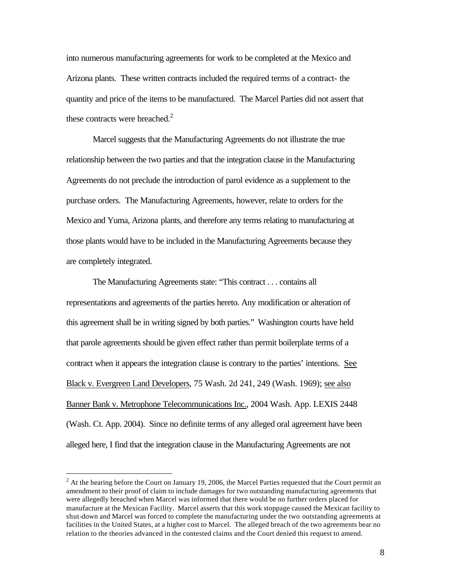into numerous manufacturing agreements for work to be completed at the Mexico and Arizona plants. These written contracts included the required terms of a contract- the quantity and price of the items to be manufactured. The Marcel Parties did not assert that these contracts were breached. $2$ 

Marcel suggests that the Manufacturing Agreements do not illustrate the true relationship between the two parties and that the integration clause in the Manufacturing Agreements do not preclude the introduction of parol evidence as a supplement to the purchase orders. The Manufacturing Agreements, however, relate to orders for the Mexico and Yuma, Arizona plants, and therefore any terms relating to manufacturing at those plants would have to be included in the Manufacturing Agreements because they are completely integrated.

The Manufacturing Agreements state: "This contract . . . contains all representations and agreements of the parties hereto. Any modification or alteration of this agreement shall be in writing signed by both parties." Washington courts have held that parole agreements should be given effect rather than permit boilerplate terms of a contract when it appears the integration clause is contrary to the parties' intentions. See Black v. Evergreen Land Developers, 75 Wash. 2d 241, 249 (Wash. 1969); see also Banner Bank v. Metrophone Telecommunications Inc., 2004 Wash. App. LEXIS 2448 (Wash. Ct. App. 2004). Since no definite terms of any alleged oral agreement have been alleged here, I find that the integration clause in the Manufacturing Agreements are not

 $\overline{a}$ 

 $2<sup>2</sup>$  At the hearing before the Court on January 19, 2006, the Marcel Parties requested that the Court permit an amendment to their proof of claim to include damages for two outstanding manufacturing agreements that were allegedly breached when Marcel was informed that there would be no further orders placed for manufacture at the Mexican Facility. Marcel asserts that this work stoppage caused the Mexican facility to shut-down and Marcel was forced to complete the manufacturing under the two outstanding agreements at facilities in the United States, at a higher cost to Marcel. The alleged breach of the two agreements bear no relation to the theories advanced in the contested claims and the Court denied this request to amend.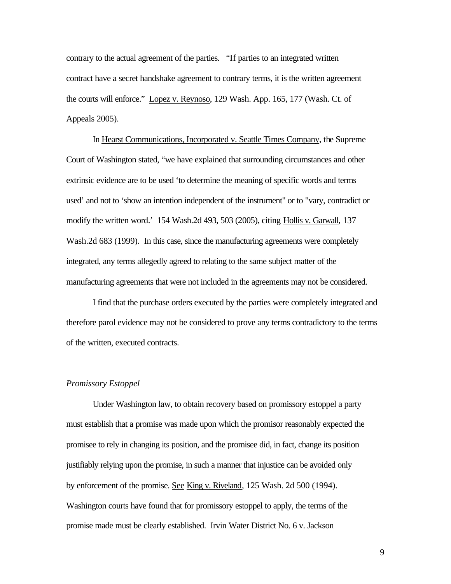contrary to the actual agreement of the parties. "If parties to an integrated written contract have a secret handshake agreement to contrary terms, it is the written agreement the courts will enforce." Lopez v. Reynoso, 129 Wash. App. 165, 177 (Wash. Ct. of Appeals 2005).

In Hearst Communications, Incorporated v. Seattle Times Company, the Supreme Court of Washington stated, "we have explained that surrounding circumstances and other extrinsic evidence are to be used 'to determine the meaning of specific words and terms used' and not to 'show an intention independent of the instrument" or to "vary, contradict or modify the written word.' 154 Wash.2d 493, 503 (2005), citing Hollis v. Garwall, 137 Wash.2d 683 (1999). In this case, since the manufacturing agreements were completely integrated, any terms allegedly agreed to relating to the same subject matter of the manufacturing agreements that were not included in the agreements may not be considered.

I find that the purchase orders executed by the parties were completely integrated and therefore parol evidence may not be considered to prove any terms contradictory to the terms of the written, executed contracts.

#### *Promissory Estoppel*

Under Washington law, to obtain recovery based on promissory estoppel a party must establish that a promise was made upon which the promisor reasonably expected the promisee to rely in changing its position, and the promisee did, in fact, change its position justifiably relying upon the promise, in such a manner that injustice can be avoided only by enforcement of the promise. See King v. Riveland, 125 Wash. 2d 500 (1994). Washington courts have found that for promissory estoppel to apply, the terms of the promise made must be clearly established. Irvin Water District No. 6 v. Jackson